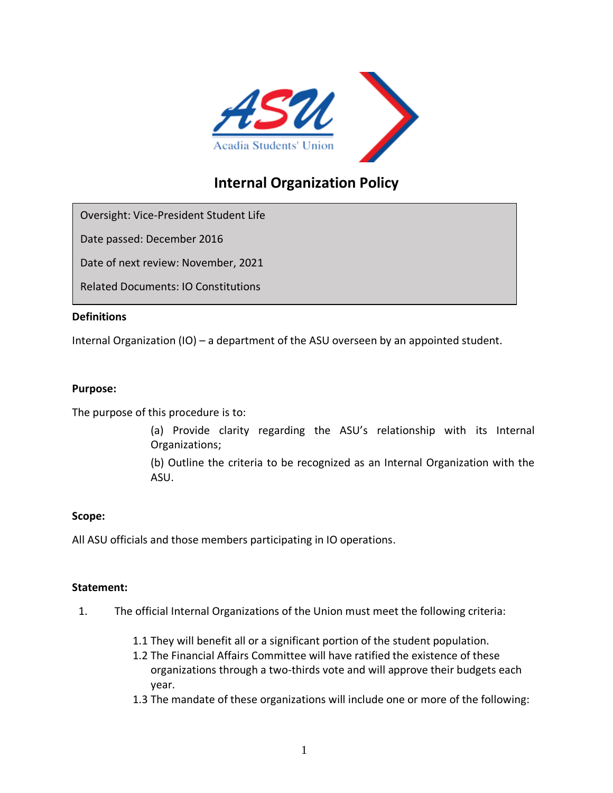

# **Internal Organization Policy**

Oversight: Vice-President Student Life

Date passed: December 2016

Date of next review: November, 2021

Related Documents: IO Constitutions

## **Definitions**

Internal Organization (IO) – a department of the ASU overseen by an appointed student.

## **Purpose:**

The purpose of this procedure is to:

(a) Provide clarity regarding the ASU's relationship with its Internal Organizations;

(b) Outline the criteria to be recognized as an Internal Organization with the ASU.

## **Scope:**

All ASU officials and those members participating in IO operations.

## **Statement:**

- 1. The official Internal Organizations of the Union must meet the following criteria:
	- 1.1 They will benefit all or a significant portion of the student population.
	- 1.2 The Financial Affairs Committee will have ratified the existence of these organizations through a two-thirds vote and will approve their budgets each year.
	- 1.3 The mandate of these organizations will include one or more of the following: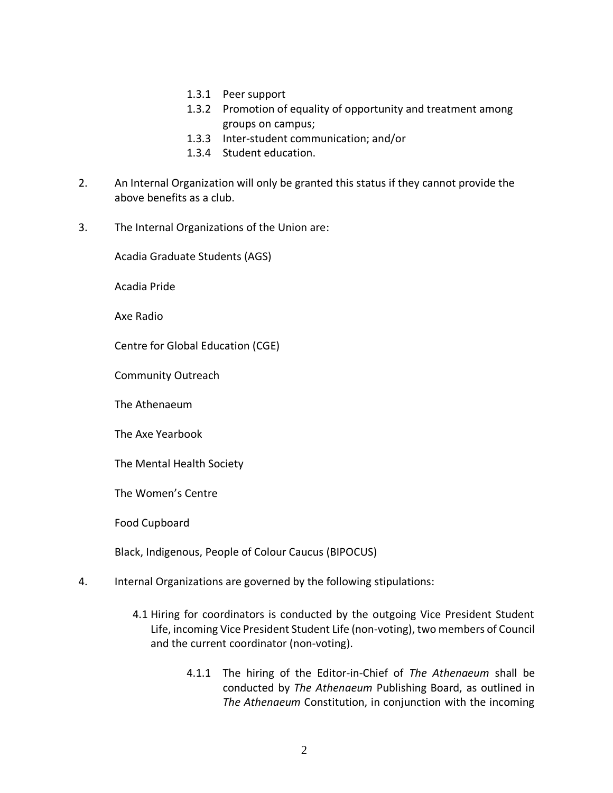- 1.3.1 Peer support
- 1.3.2 Promotion of equality of opportunity and treatment among groups on campus;
- 1.3.3 Inter-student communication; and/or
- 1.3.4 Student education.
- 2. An Internal Organization will only be granted this status if they cannot provide the above benefits as a club.
- 3. The Internal Organizations of the Union are:

Acadia Graduate Students (AGS)

Acadia Pride

Axe Radio

Centre for Global Education (CGE)

Community Outreach

The Athenaeum

The Axe Yearbook

The Mental Health Society

The Women's Centre

Food Cupboard

Black, Indigenous, People of Colour Caucus (BIPOCUS)

- 4. Internal Organizations are governed by the following stipulations:
	- 4.1 Hiring for coordinators is conducted by the outgoing Vice President Student Life, incoming Vice President Student Life (non-voting), two members of Council and the current coordinator (non-voting).
		- 4.1.1 The hiring of the Editor-in-Chief of *The Athenaeum* shall be conducted by *The Athenaeum* Publishing Board, as outlined in *The Athenaeum* Constitution, in conjunction with the incoming